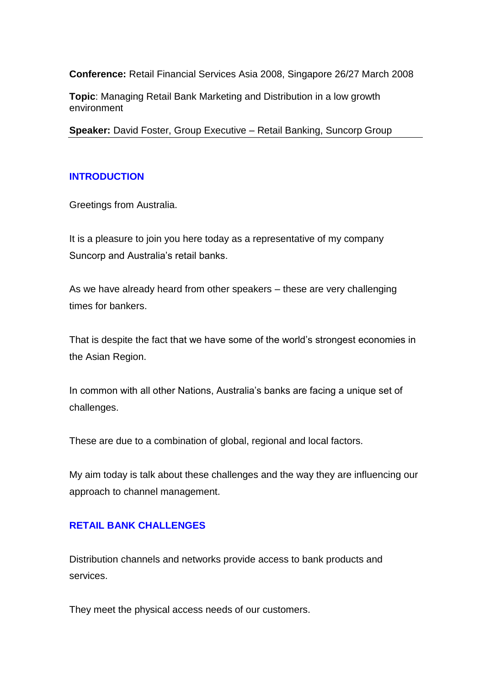**Conference:** Retail Financial Services Asia 2008, Singapore 26/27 March 2008

**Topic**: Managing Retail Bank Marketing and Distribution in a low growth environment

**Speaker:** David Foster, Group Executive – Retail Banking, Suncorp Group

### **INTRODUCTION**

Greetings from Australia.

It is a pleasure to join you here today as a representative of my company Suncorp and Australia's retail banks.

As we have already heard from other speakers – these are very challenging times for bankers.

That is despite the fact that we have some of the world's strongest economies in the Asian Region.

In common with all other Nations, Australia's banks are facing a unique set of challenges.

These are due to a combination of global, regional and local factors.

My aim today is talk about these challenges and the way they are influencing our approach to channel management.

### **RETAIL BANK CHALLENGES**

Distribution channels and networks provide access to bank products and services.

They meet the physical access needs of our customers.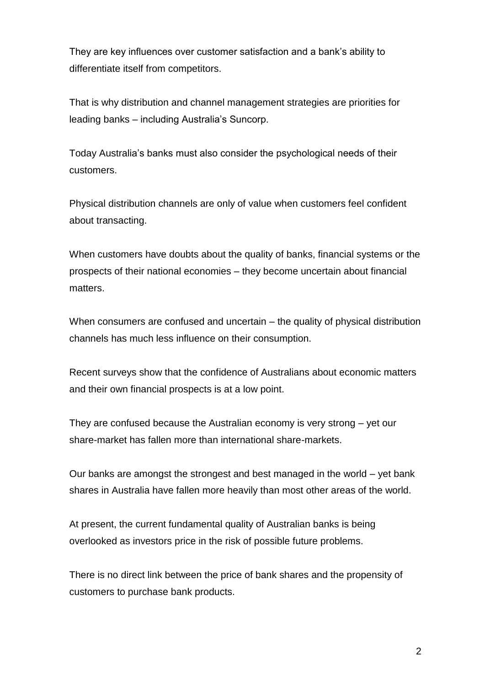They are key influences over customer satisfaction and a bank's ability to differentiate itself from competitors.

That is why distribution and channel management strategies are priorities for leading banks – including Australia's Suncorp.

Today Australia's banks must also consider the psychological needs of their customers.

Physical distribution channels are only of value when customers feel confident about transacting.

When customers have doubts about the quality of banks, financial systems or the prospects of their national economies – they become uncertain about financial matters.

When consumers are confused and uncertain – the quality of physical distribution channels has much less influence on their consumption.

Recent surveys show that the confidence of Australians about economic matters and their own financial prospects is at a low point.

They are confused because the Australian economy is very strong – yet our share-market has fallen more than international share-markets.

Our banks are amongst the strongest and best managed in the world – yet bank shares in Australia have fallen more heavily than most other areas of the world.

At present, the current fundamental quality of Australian banks is being overlooked as investors price in the risk of possible future problems.

There is no direct link between the price of bank shares and the propensity of customers to purchase bank products.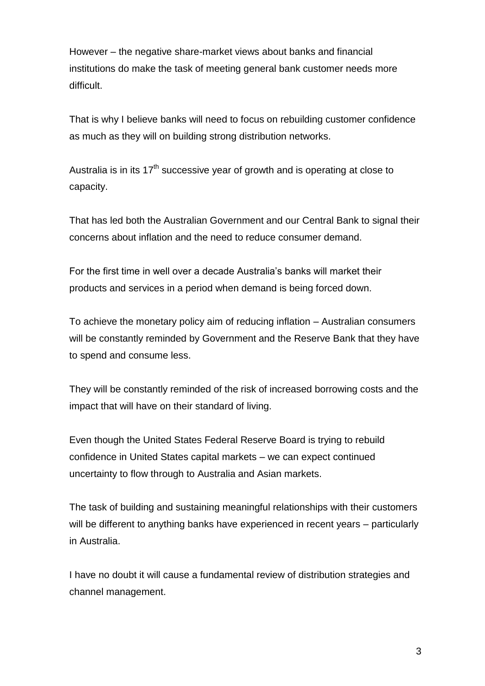However – the negative share-market views about banks and financial institutions do make the task of meeting general bank customer needs more difficult.

That is why I believe banks will need to focus on rebuilding customer confidence as much as they will on building strong distribution networks.

Australia is in its  $17<sup>th</sup>$  successive year of growth and is operating at close to capacity.

That has led both the Australian Government and our Central Bank to signal their concerns about inflation and the need to reduce consumer demand.

For the first time in well over a decade Australia's banks will market their products and services in a period when demand is being forced down.

To achieve the monetary policy aim of reducing inflation – Australian consumers will be constantly reminded by Government and the Reserve Bank that they have to spend and consume less.

They will be constantly reminded of the risk of increased borrowing costs and the impact that will have on their standard of living.

Even though the United States Federal Reserve Board is trying to rebuild confidence in United States capital markets – we can expect continued uncertainty to flow through to Australia and Asian markets.

The task of building and sustaining meaningful relationships with their customers will be different to anything banks have experienced in recent years – particularly in Australia.

I have no doubt it will cause a fundamental review of distribution strategies and channel management.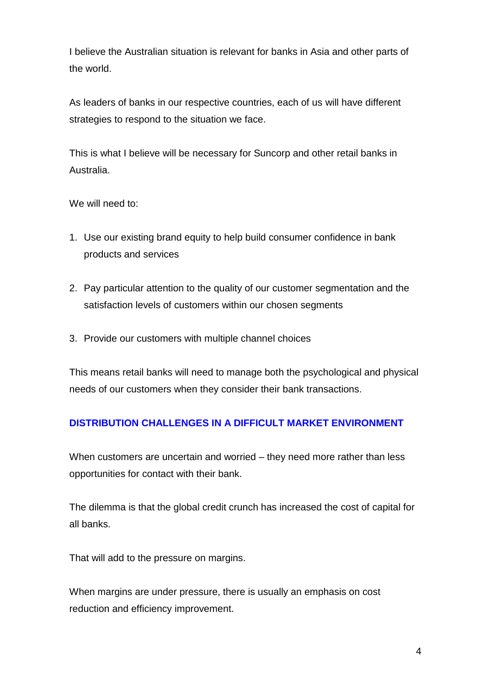I believe the Australian situation is relevant for banks in Asia and other parts of the world.

As leaders of banks in our respective countries, each of us will have different strategies to respond to the situation we face.

This is what I believe will be necessary for Suncorp and other retail banks in Australia.

We will need to:

- 1. Use our existing brand equity to help build consumer confidence in bank products and services
- 2. Pay particular attention to the quality of our customer segmentation and the satisfaction levels of customers within our chosen segments
- 3. Provide our customers with multiple channel choices

This means retail banks will need to manage both the psychological and physical needs of our customers when they consider their bank transactions.

# **DISTRIBUTION CHALLENGES IN A DIFFICULT MARKET ENVIRONMENT**

When customers are uncertain and worried – they need more rather than less opportunities for contact with their bank.

The dilemma is that the global credit crunch has increased the cost of capital for all banks.

That will add to the pressure on margins.

When margins are under pressure, there is usually an emphasis on cost reduction and efficiency improvement.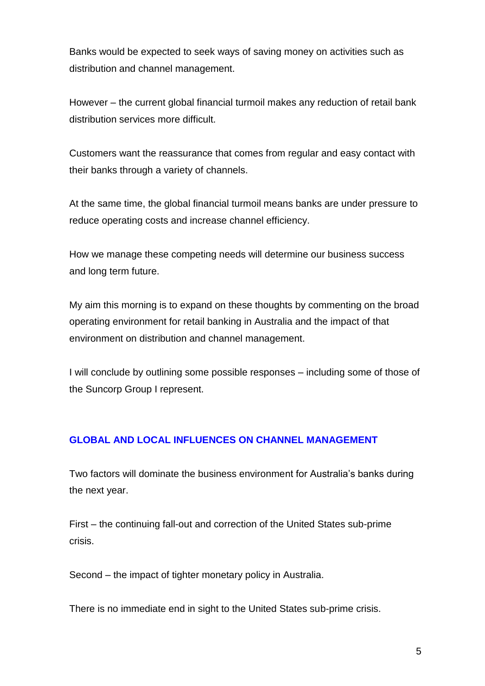Banks would be expected to seek ways of saving money on activities such as distribution and channel management.

However – the current global financial turmoil makes any reduction of retail bank distribution services more difficult.

Customers want the reassurance that comes from regular and easy contact with their banks through a variety of channels.

At the same time, the global financial turmoil means banks are under pressure to reduce operating costs and increase channel efficiency.

How we manage these competing needs will determine our business success and long term future.

My aim this morning is to expand on these thoughts by commenting on the broad operating environment for retail banking in Australia and the impact of that environment on distribution and channel management.

I will conclude by outlining some possible responses – including some of those of the Suncorp Group I represent.

# **GLOBAL AND LOCAL INFLUENCES ON CHANNEL MANAGEMENT**

Two factors will dominate the business environment for Australia's banks during the next year.

First – the continuing fall-out and correction of the United States sub-prime crisis.

Second – the impact of tighter monetary policy in Australia.

There is no immediate end in sight to the United States sub-prime crisis.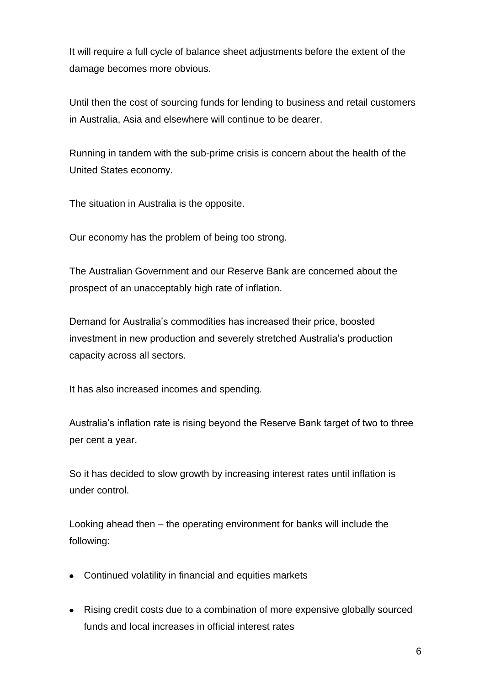It will require a full cycle of balance sheet adjustments before the extent of the damage becomes more obvious.

Until then the cost of sourcing funds for lending to business and retail customers in Australia, Asia and elsewhere will continue to be dearer.

Running in tandem with the sub-prime crisis is concern about the health of the United States economy.

The situation in Australia is the opposite.

Our economy has the problem of being too strong.

The Australian Government and our Reserve Bank are concerned about the prospect of an unacceptably high rate of inflation.

Demand for Australia's commodities has increased their price, boosted investment in new production and severely stretched Australia's production capacity across all sectors.

It has also increased incomes and spending.

Australia's inflation rate is rising beyond the Reserve Bank target of two to three per cent a year.

So it has decided to slow growth by increasing interest rates until inflation is under control.

Looking ahead then – the operating environment for banks will include the following:

- Continued volatility in financial and equities markets
- Rising credit costs due to a combination of more expensive globally sourced funds and local increases in official interest rates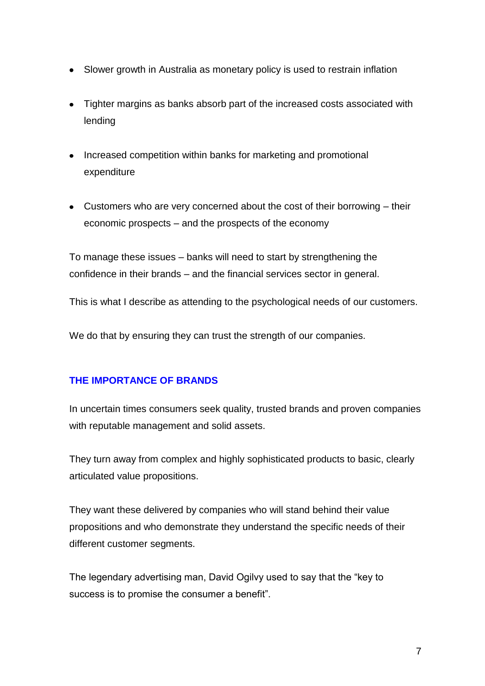- Slower growth in Australia as monetary policy is used to restrain inflation
- Tighter margins as banks absorb part of the increased costs associated with lending
- Increased competition within banks for marketing and promotional expenditure
- Customers who are very concerned about the cost of their borrowing their economic prospects – and the prospects of the economy

To manage these issues – banks will need to start by strengthening the confidence in their brands – and the financial services sector in general.

This is what I describe as attending to the psychological needs of our customers.

We do that by ensuring they can trust the strength of our companies.

# **THE IMPORTANCE OF BRANDS**

In uncertain times consumers seek quality, trusted brands and proven companies with reputable management and solid assets.

They turn away from complex and highly sophisticated products to basic, clearly articulated value propositions.

They want these delivered by companies who will stand behind their value propositions and who demonstrate they understand the specific needs of their different customer segments.

The legendary advertising man, David Ogilvy used to say that the "key to success is to promise the consumer a benefit".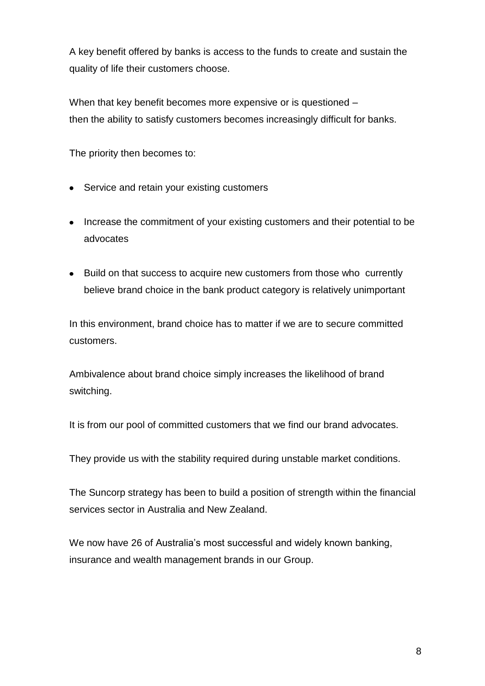A key benefit offered by banks is access to the funds to create and sustain the quality of life their customers choose.

When that key benefit becomes more expensive or is questioned – then the ability to satisfy customers becomes increasingly difficult for banks.

The priority then becomes to:

- Service and retain your existing customers
- Increase the commitment of your existing customers and their potential to be advocates
- Build on that success to acquire new customers from those who currently believe brand choice in the bank product category is relatively unimportant

In this environment, brand choice has to matter if we are to secure committed customers.

Ambivalence about brand choice simply increases the likelihood of brand switching.

It is from our pool of committed customers that we find our brand advocates.

They provide us with the stability required during unstable market conditions.

The Suncorp strategy has been to build a position of strength within the financial services sector in Australia and New Zealand.

We now have 26 of Australia's most successful and widely known banking, insurance and wealth management brands in our Group.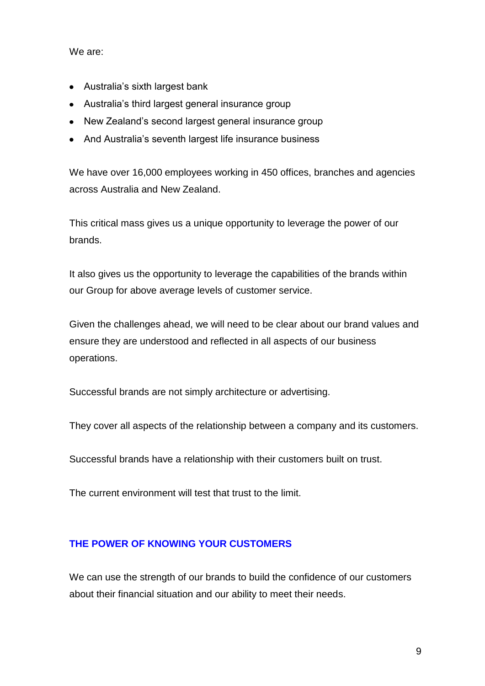We are:

- Australia's sixth largest bank
- Australia's third largest general insurance group
- New Zealand's second largest general insurance group
- And Australia's seventh largest life insurance business

We have over 16,000 employees working in 450 offices, branches and agencies across Australia and New Zealand.

This critical mass gives us a unique opportunity to leverage the power of our brands.

It also gives us the opportunity to leverage the capabilities of the brands within our Group for above average levels of customer service.

Given the challenges ahead, we will need to be clear about our brand values and ensure they are understood and reflected in all aspects of our business operations.

Successful brands are not simply architecture or advertising.

They cover all aspects of the relationship between a company and its customers.

Successful brands have a relationship with their customers built on trust.

The current environment will test that trust to the limit.

### **THE POWER OF KNOWING YOUR CUSTOMERS**

We can use the strength of our brands to build the confidence of our customers about their financial situation and our ability to meet their needs.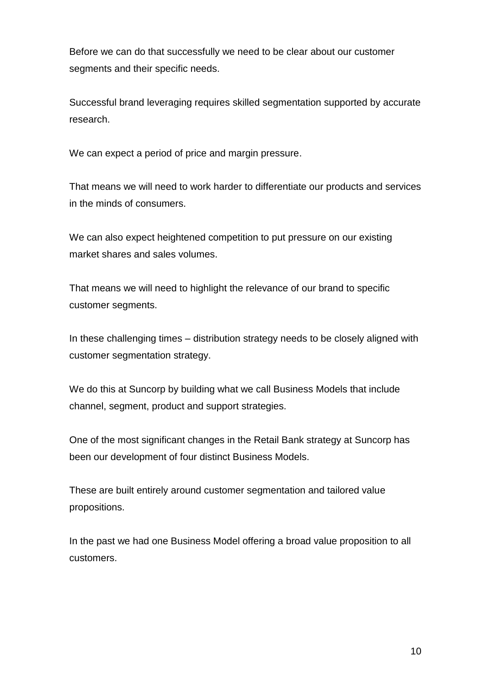Before we can do that successfully we need to be clear about our customer segments and their specific needs.

Successful brand leveraging requires skilled segmentation supported by accurate research.

We can expect a period of price and margin pressure.

That means we will need to work harder to differentiate our products and services in the minds of consumers.

We can also expect heightened competition to put pressure on our existing market shares and sales volumes.

That means we will need to highlight the relevance of our brand to specific customer segments.

In these challenging times – distribution strategy needs to be closely aligned with customer segmentation strategy.

We do this at Suncorp by building what we call Business Models that include channel, segment, product and support strategies.

One of the most significant changes in the Retail Bank strategy at Suncorp has been our development of four distinct Business Models.

These are built entirely around customer segmentation and tailored value propositions.

In the past we had one Business Model offering a broad value proposition to all customers.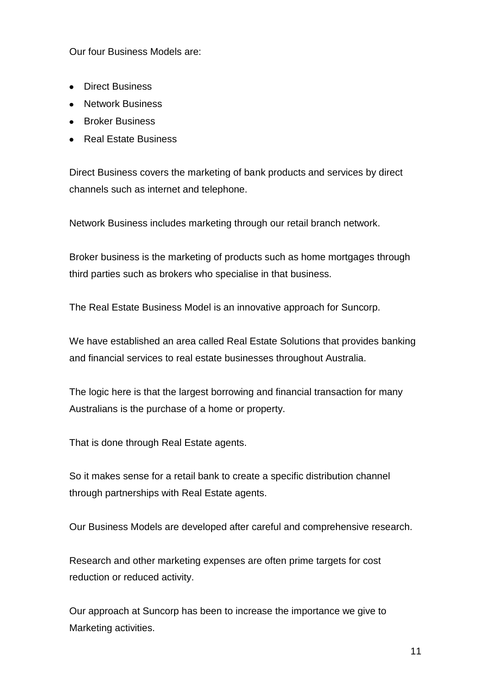Our four Business Models are:

- Direct Business
- Network Business
- Broker Business
- Real Estate Business

Direct Business covers the marketing of bank products and services by direct channels such as internet and telephone.

Network Business includes marketing through our retail branch network.

Broker business is the marketing of products such as home mortgages through third parties such as brokers who specialise in that business.

The Real Estate Business Model is an innovative approach for Suncorp.

We have established an area called Real Estate Solutions that provides banking and financial services to real estate businesses throughout Australia.

The logic here is that the largest borrowing and financial transaction for many Australians is the purchase of a home or property.

That is done through Real Estate agents.

So it makes sense for a retail bank to create a specific distribution channel through partnerships with Real Estate agents.

Our Business Models are developed after careful and comprehensive research.

Research and other marketing expenses are often prime targets for cost reduction or reduced activity.

Our approach at Suncorp has been to increase the importance we give to Marketing activities.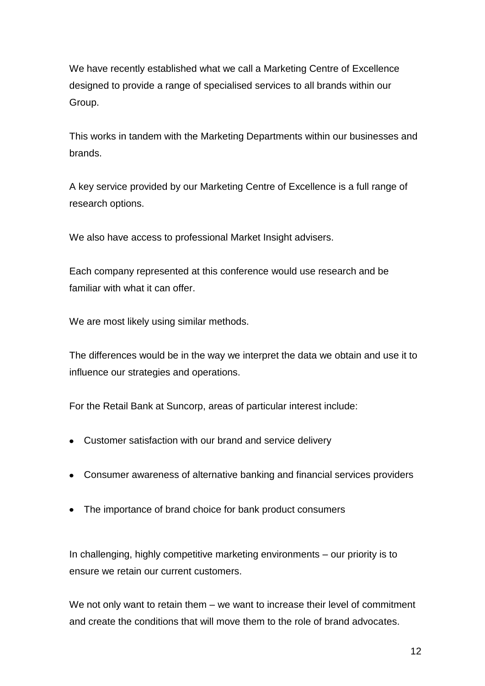We have recently established what we call a Marketing Centre of Excellence designed to provide a range of specialised services to all brands within our Group.

This works in tandem with the Marketing Departments within our businesses and brands.

A key service provided by our Marketing Centre of Excellence is a full range of research options.

We also have access to professional Market Insight advisers.

Each company represented at this conference would use research and be familiar with what it can offer.

We are most likely using similar methods.

The differences would be in the way we interpret the data we obtain and use it to influence our strategies and operations.

For the Retail Bank at Suncorp, areas of particular interest include:

- Customer satisfaction with our brand and service delivery
- Consumer awareness of alternative banking and financial services providers
- The importance of brand choice for bank product consumers

In challenging, highly competitive marketing environments – our priority is to ensure we retain our current customers.

We not only want to retain them – we want to increase their level of commitment and create the conditions that will move them to the role of brand advocates.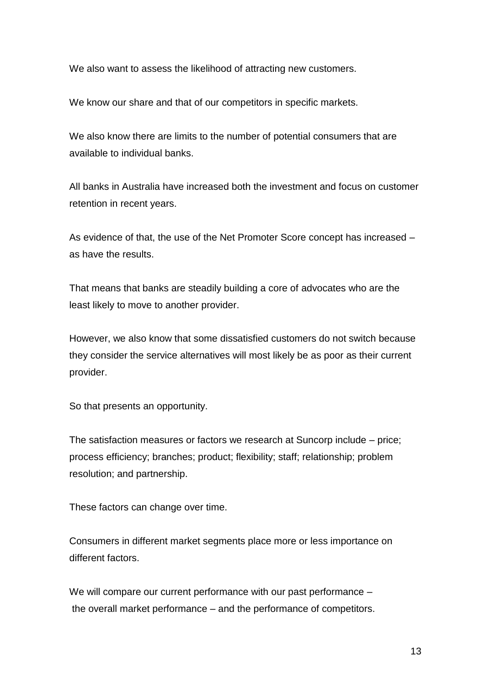We also want to assess the likelihood of attracting new customers.

We know our share and that of our competitors in specific markets.

We also know there are limits to the number of potential consumers that are available to individual banks.

All banks in Australia have increased both the investment and focus on customer retention in recent years.

As evidence of that, the use of the Net Promoter Score concept has increased – as have the results.

That means that banks are steadily building a core of advocates who are the least likely to move to another provider.

However, we also know that some dissatisfied customers do not switch because they consider the service alternatives will most likely be as poor as their current provider.

So that presents an opportunity.

The satisfaction measures or factors we research at Suncorp include – price; process efficiency; branches; product; flexibility; staff; relationship; problem resolution; and partnership.

These factors can change over time.

Consumers in different market segments place more or less importance on different factors.

We will compare our current performance with our past performance – the overall market performance – and the performance of competitors.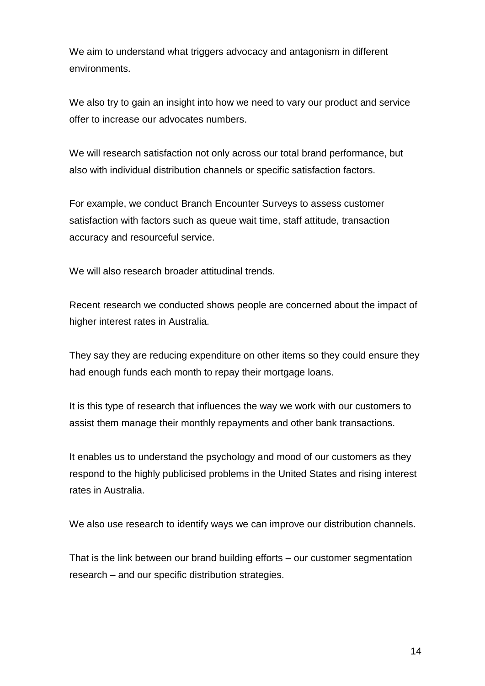We aim to understand what triggers advocacy and antagonism in different environments.

We also try to gain an insight into how we need to vary our product and service offer to increase our advocates numbers.

We will research satisfaction not only across our total brand performance, but also with individual distribution channels or specific satisfaction factors.

For example, we conduct Branch Encounter Surveys to assess customer satisfaction with factors such as queue wait time, staff attitude, transaction accuracy and resourceful service.

We will also research broader attitudinal trends.

Recent research we conducted shows people are concerned about the impact of higher interest rates in Australia.

They say they are reducing expenditure on other items so they could ensure they had enough funds each month to repay their mortgage loans.

It is this type of research that influences the way we work with our customers to assist them manage their monthly repayments and other bank transactions.

It enables us to understand the psychology and mood of our customers as they respond to the highly publicised problems in the United States and rising interest rates in Australia.

We also use research to identify ways we can improve our distribution channels.

That is the link between our brand building efforts – our customer segmentation research – and our specific distribution strategies.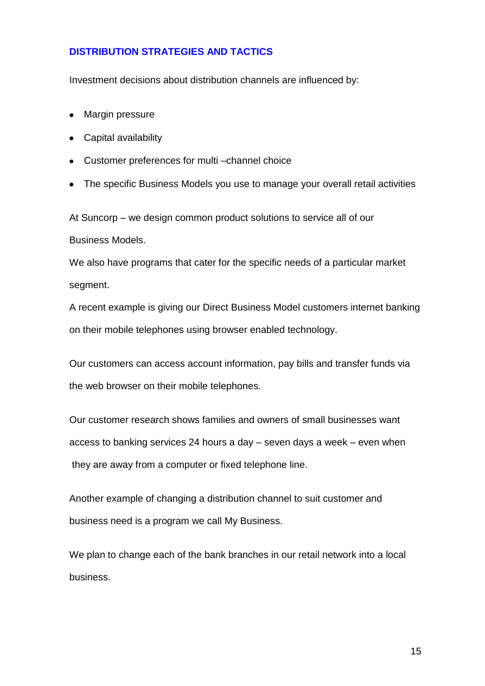#### **DISTRIBUTION STRATEGIES AND TACTICS**

Investment decisions about distribution channels are influenced by:

- Margin pressure
- Capital availability
- Customer preferences for multi –channel choice
- The specific Business Models you use to manage your overall retail activities

At Suncorp – we design common product solutions to service all of our Business Models.

We also have programs that cater for the specific needs of a particular market segment.

A recent example is giving our Direct Business Model customers internet banking on their mobile telephones using browser enabled technology.

Our customers can access account information, pay bills and transfer funds via the web browser on their mobile telephones.

Our customer research shows families and owners of small businesses want access to banking services 24 hours a day – seven days a week – even when they are away from a computer or fixed telephone line.

Another example of changing a distribution channel to suit customer and business need is a program we call My Business.

We plan to change each of the bank branches in our retail network into a local business.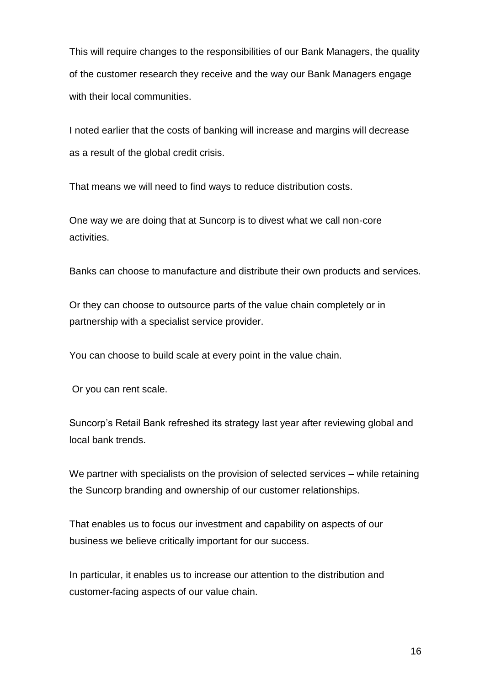This will require changes to the responsibilities of our Bank Managers, the quality of the customer research they receive and the way our Bank Managers engage with their local communities.

I noted earlier that the costs of banking will increase and margins will decrease as a result of the global credit crisis.

That means we will need to find ways to reduce distribution costs.

One way we are doing that at Suncorp is to divest what we call non-core activities.

Banks can choose to manufacture and distribute their own products and services.

Or they can choose to outsource parts of the value chain completely or in partnership with a specialist service provider.

You can choose to build scale at every point in the value chain.

Or you can rent scale.

Suncorp's Retail Bank refreshed its strategy last year after reviewing global and local bank trends.

We partner with specialists on the provision of selected services – while retaining the Suncorp branding and ownership of our customer relationships.

That enables us to focus our investment and capability on aspects of our business we believe critically important for our success.

In particular, it enables us to increase our attention to the distribution and customer-facing aspects of our value chain.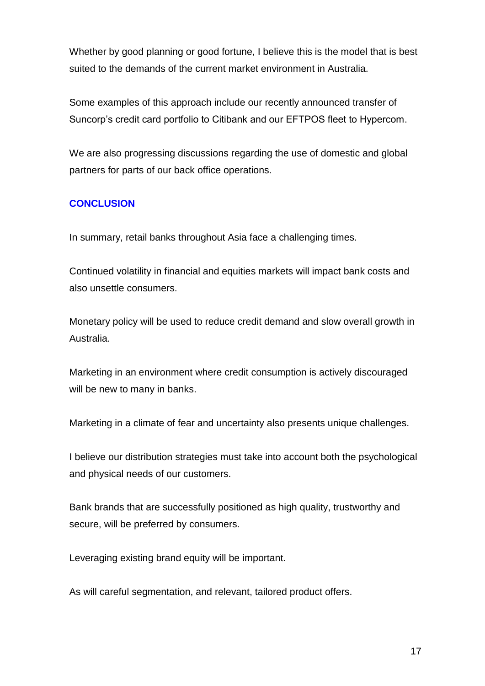Whether by good planning or good fortune. I believe this is the model that is best suited to the demands of the current market environment in Australia.

Some examples of this approach include our recently announced transfer of Suncorp's credit card portfolio to Citibank and our EFTPOS fleet to Hypercom.

We are also progressing discussions regarding the use of domestic and global partners for parts of our back office operations.

### **CONCLUSION**

In summary, retail banks throughout Asia face a challenging times.

Continued volatility in financial and equities markets will impact bank costs and also unsettle consumers.

Monetary policy will be used to reduce credit demand and slow overall growth in Australia.

Marketing in an environment where credit consumption is actively discouraged will be new to many in banks.

Marketing in a climate of fear and uncertainty also presents unique challenges.

I believe our distribution strategies must take into account both the psychological and physical needs of our customers.

Bank brands that are successfully positioned as high quality, trustworthy and secure, will be preferred by consumers.

Leveraging existing brand equity will be important.

As will careful segmentation, and relevant, tailored product offers.